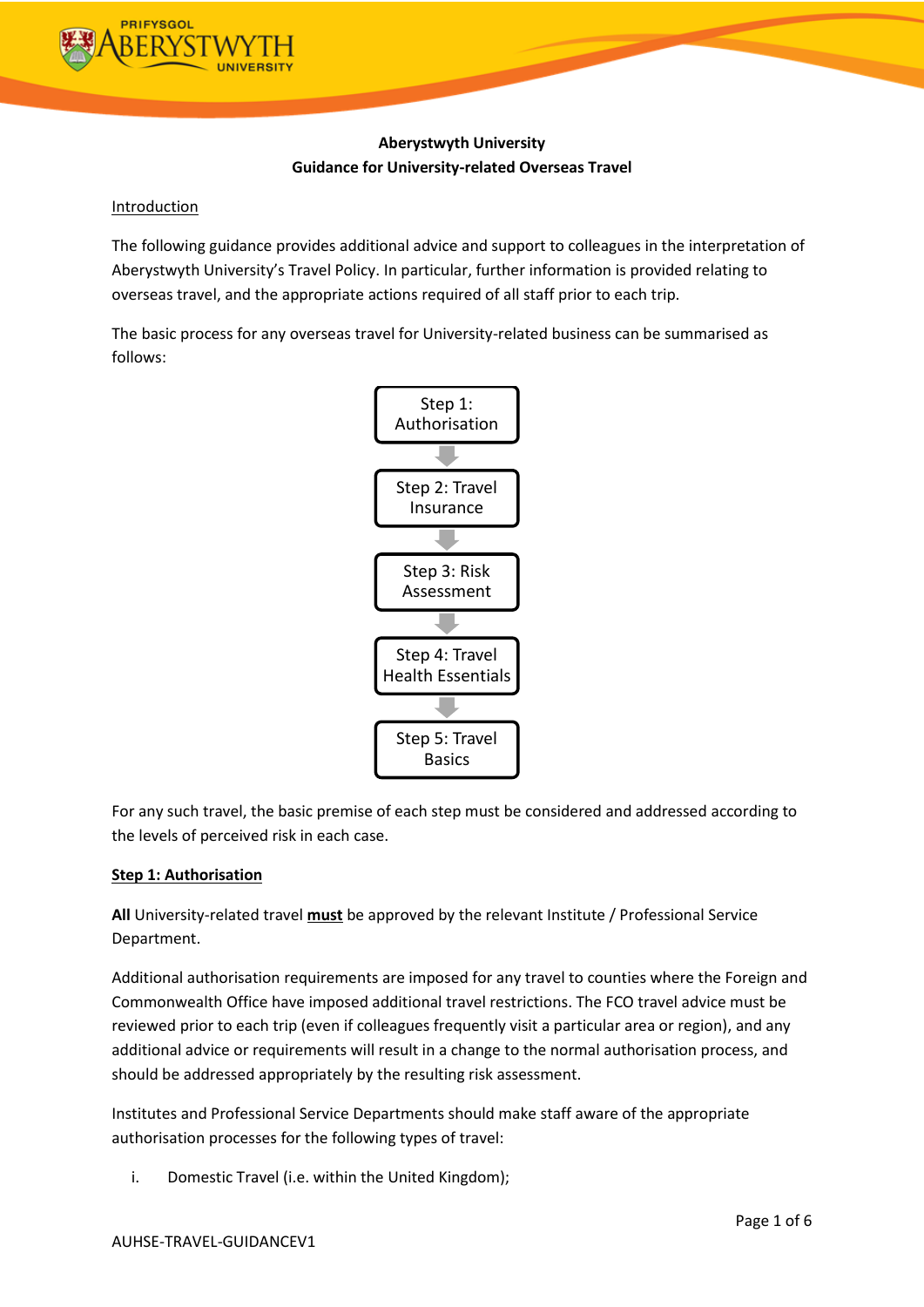

# **Aberystwyth University Guidance for University-related Overseas Travel**

### Introduction

The following guidance provides additional advice and support to colleagues in the interpretation of Aberystwyth University's Travel Policy. In particular, further information is provided relating to overseas travel, and the appropriate actions required of all staff prior to each trip.

The basic process for any overseas travel for University-related business can be summarised as follows:



For any such travel, the basic premise of each step must be considered and addressed according to the levels of perceived risk in each case.

# **Step 1: Authorisation**

**All** University-related travel **must** be approved by the relevant Institute / Professional Service Department.

Additional authorisation requirements are imposed for any travel to counties where the Foreign and Commonwealth Office have imposed additional travel restrictions. The FCO travel advice must be reviewed prior to each trip (even if colleagues frequently visit a particular area or region), and any additional advice or requirements will result in a change to the normal authorisation process, and should be addressed appropriately by the resulting risk assessment.

Institutes and Professional Service Departments should make staff aware of the appropriate authorisation processes for the following types of travel:

i. Domestic Travel (i.e. within the United Kingdom);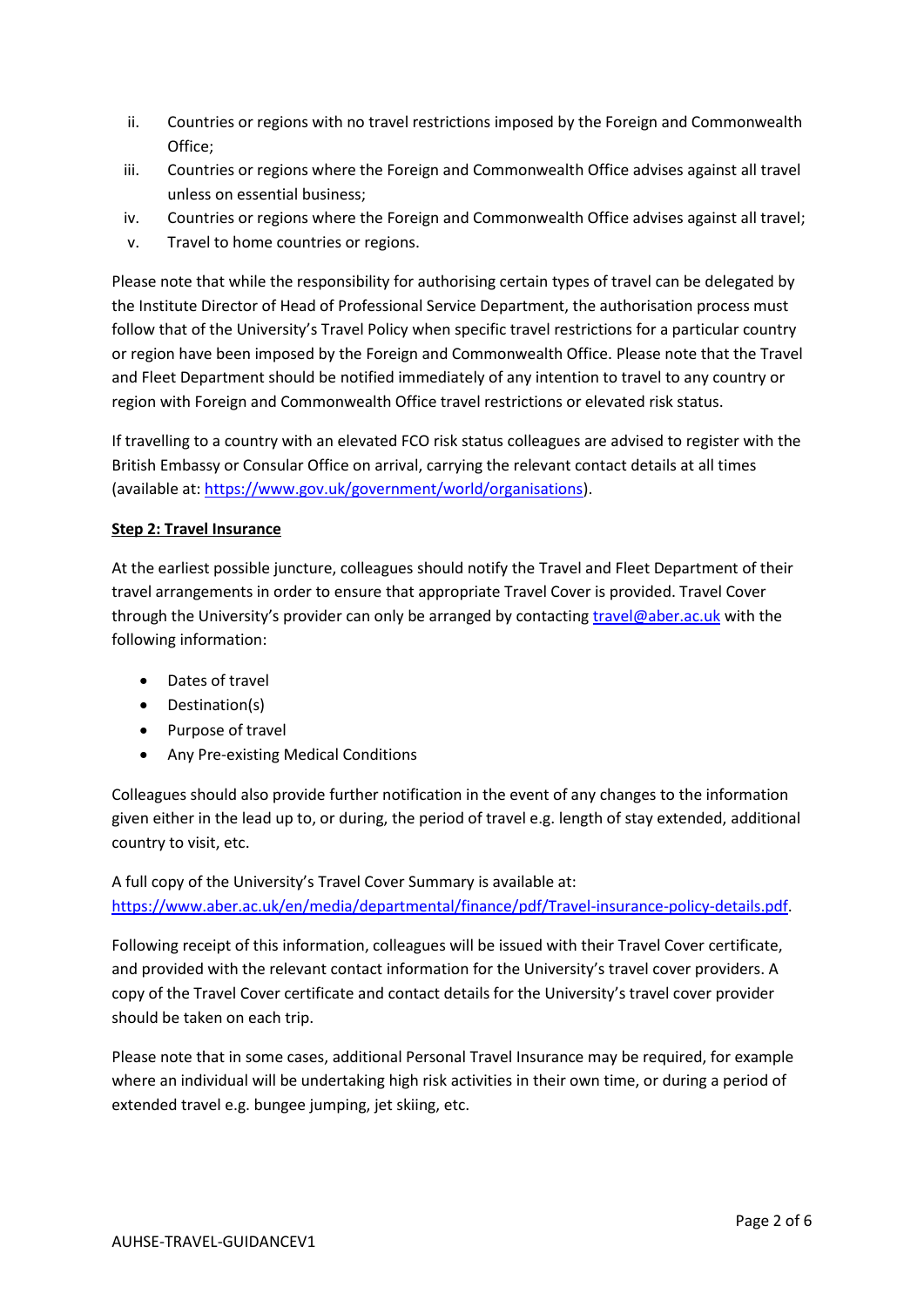- ii. Countries or regions with no travel restrictions imposed by the Foreign and Commonwealth Office;
- iii. Countries or regions where the Foreign and Commonwealth Office advises against all travel unless on essential business;
- iv. Countries or regions where the Foreign and Commonwealth Office advises against all travel;
- v. Travel to home countries or regions.

Please note that while the responsibility for authorising certain types of travel can be delegated by the Institute Director of Head of Professional Service Department, the authorisation process must follow that of the University's Travel Policy when specific travel restrictions for a particular country or region have been imposed by the Foreign and Commonwealth Office. Please note that the Travel and Fleet Department should be notified immediately of any intention to travel to any country or region with Foreign and Commonwealth Office travel restrictions or elevated risk status.

If travelling to a country with an elevated FCO risk status colleagues are advised to register with the British Embassy or Consular Office on arrival, carrying the relevant contact details at all times (available at: [https://www.gov.uk/government/world/organisations\)](https://www.gov.uk/government/world/organisations).

## **Step 2: Travel Insurance**

At the earliest possible juncture, colleagues should notify the Travel and Fleet Department of their travel arrangements in order to ensure that appropriate Travel Cover is provided. Travel Cover through the University's provider can only be arranged by contacting [travel@aber.ac.uk](mailto:travel@aber.ac.uk) with the following information:

- Dates of travel
- Destination(s)
- Purpose of travel
- Any Pre-existing Medical Conditions

Colleagues should also provide further notification in the event of any changes to the information given either in the lead up to, or during, the period of travel e.g. length of stay extended, additional country to visit, etc.

A full copy of the University's Travel Cover Summary is available at: [https://www.aber.ac.uk/en/media/departmental/finance/pdf/Travel-insurance-policy-details.pdf.](https://www.aber.ac.uk/en/media/departmental/finance/pdf/Travel-insurance-policy-details.pdf)

Following receipt of this information, colleagues will be issued with their Travel Cover certificate, and provided with the relevant contact information for the University's travel cover providers. A copy of the Travel Cover certificate and contact details for the University's travel cover provider should be taken on each trip.

Please note that in some cases, additional Personal Travel Insurance may be required, for example where an individual will be undertaking high risk activities in their own time, or during a period of extended travel e.g. bungee jumping, jet skiing, etc.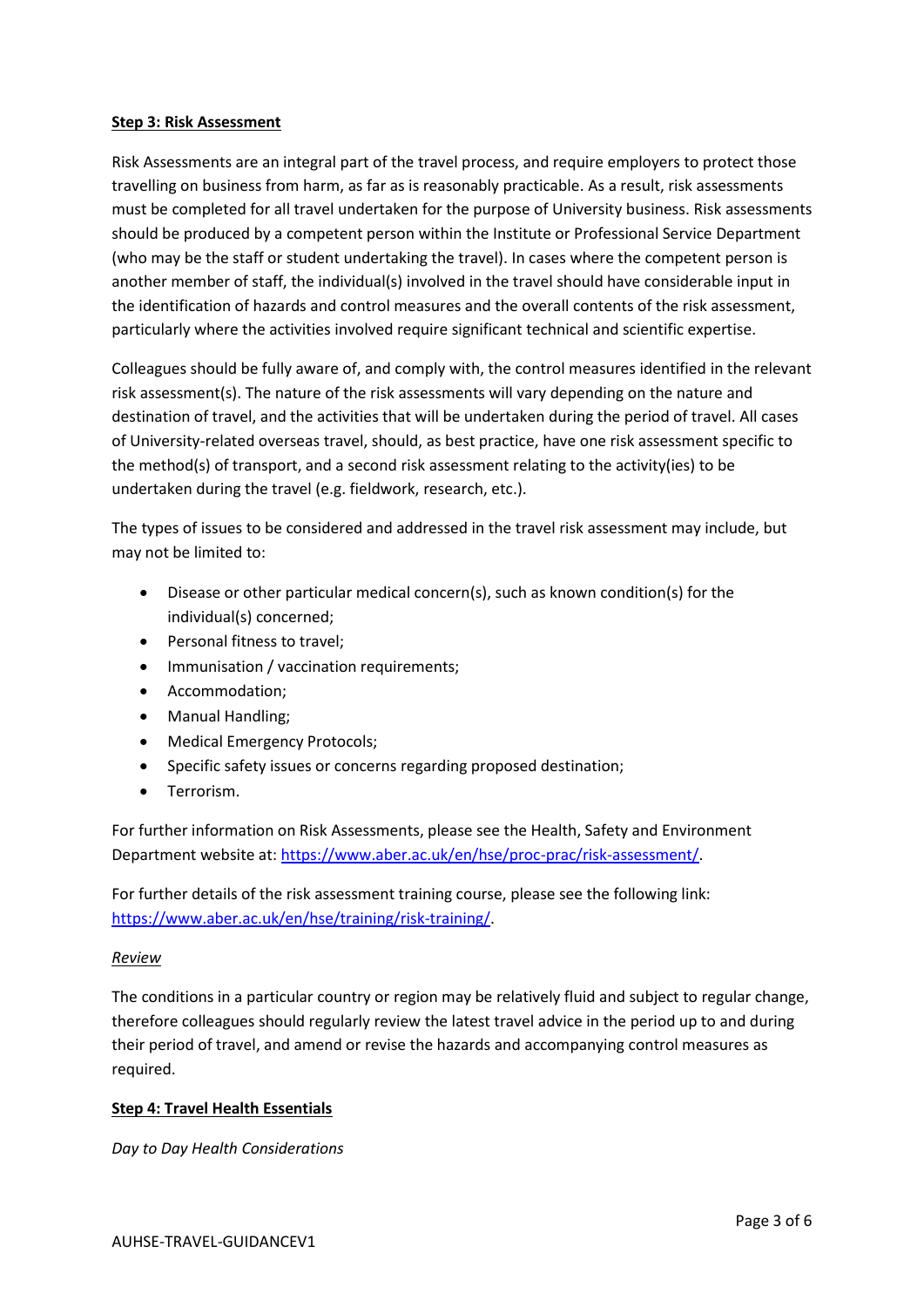#### **Step 3: Risk Assessment**

Risk Assessments are an integral part of the travel process, and require employers to protect those travelling on business from harm, as far as is reasonably practicable. As a result, risk assessments must be completed for all travel undertaken for the purpose of University business. Risk assessments should be produced by a competent person within the Institute or Professional Service Department (who may be the staff or student undertaking the travel). In cases where the competent person is another member of staff, the individual(s) involved in the travel should have considerable input in the identification of hazards and control measures and the overall contents of the risk assessment, particularly where the activities involved require significant technical and scientific expertise.

Colleagues should be fully aware of, and comply with, the control measures identified in the relevant risk assessment(s). The nature of the risk assessments will vary depending on the nature and destination of travel, and the activities that will be undertaken during the period of travel. All cases of University-related overseas travel, should, as best practice, have one risk assessment specific to the method(s) of transport, and a second risk assessment relating to the activity(ies) to be undertaken during the travel (e.g. fieldwork, research, etc.).

The types of issues to be considered and addressed in the travel risk assessment may include, but may not be limited to:

- Disease or other particular medical concern(s), such as known condition(s) for the individual(s) concerned;
- Personal fitness to travel;
- Immunisation / vaccination requirements;
- Accommodation;
- Manual Handling;
- Medical Emergency Protocols;
- Specific safety issues or concerns regarding proposed destination;
- Terrorism.

For further information on Risk Assessments, please see the Health, Safety and Environment Department website at: [https://www.aber.ac.uk/en/hse/proc-prac/risk-assessment/.](https://www.aber.ac.uk/en/hse/proc-prac/risk-assessment/)

For further details of the risk assessment training course, please see the following link: [https://www.aber.ac.uk/en/hse/training/risk-training/.](https://www.aber.ac.uk/en/hse/training/risk-training/)

### *Review*

The conditions in a particular country or region may be relatively fluid and subject to regular change, therefore colleagues should regularly review the latest travel advice in the period up to and during their period of travel, and amend or revise the hazards and accompanying control measures as required.

### **Step 4: Travel Health Essentials**

*Day to Day Health Considerations*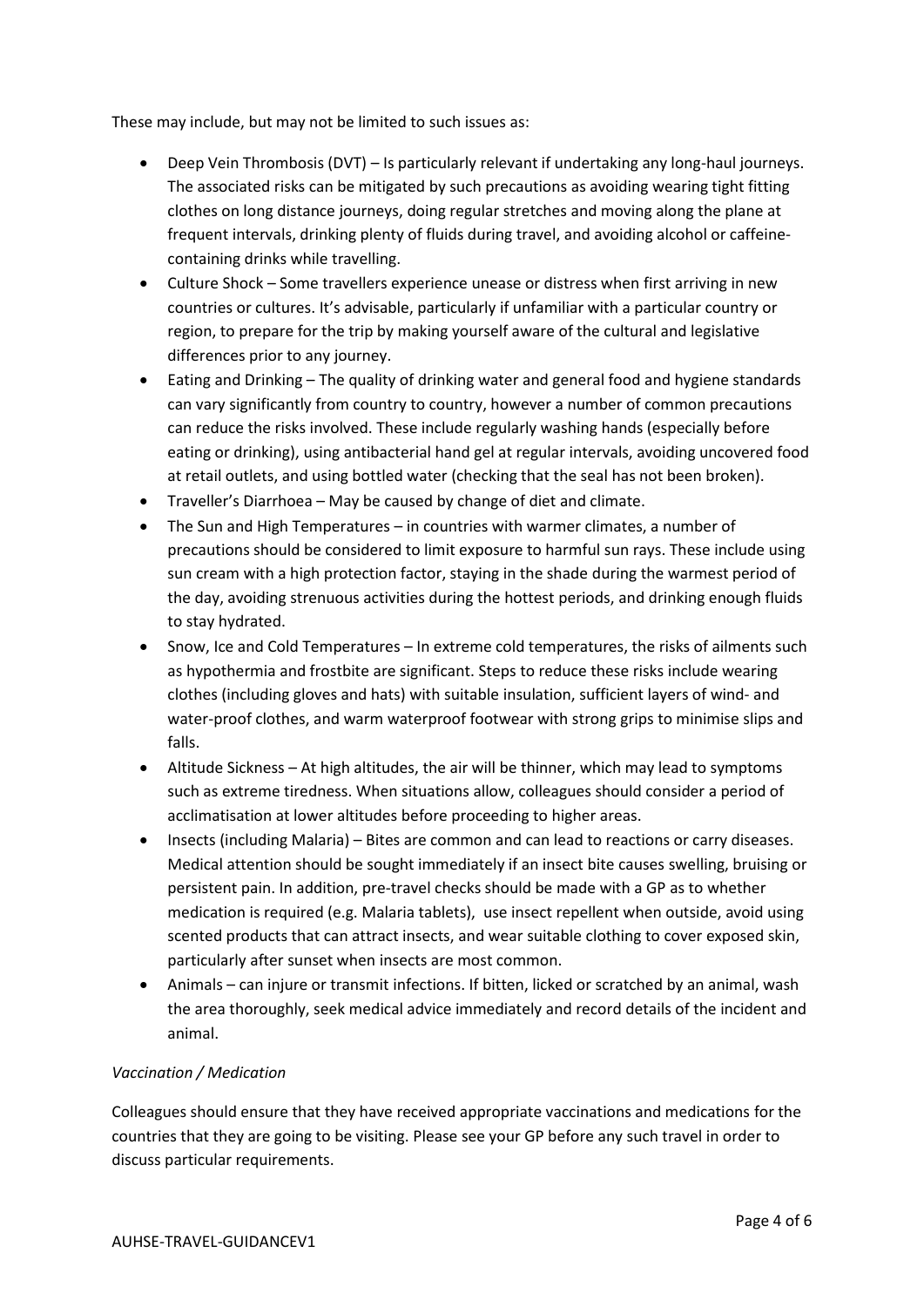These may include, but may not be limited to such issues as:

- Deep Vein Thrombosis (DVT) Is particularly relevant if undertaking any long-haul journeys. The associated risks can be mitigated by such precautions as avoiding wearing tight fitting clothes on long distance journeys, doing regular stretches and moving along the plane at frequent intervals, drinking plenty of fluids during travel, and avoiding alcohol or caffeinecontaining drinks while travelling.
- Culture Shock Some travellers experience unease or distress when first arriving in new countries or cultures. It's advisable, particularly if unfamiliar with a particular country or region, to prepare for the trip by making yourself aware of the cultural and legislative differences prior to any journey.
- Eating and Drinking The quality of drinking water and general food and hygiene standards can vary significantly from country to country, however a number of common precautions can reduce the risks involved. These include regularly washing hands (especially before eating or drinking), using antibacterial hand gel at regular intervals, avoiding uncovered food at retail outlets, and using bottled water (checking that the seal has not been broken).
- Traveller's Diarrhoea May be caused by change of diet and climate.
- The Sun and High Temperatures in countries with warmer climates, a number of precautions should be considered to limit exposure to harmful sun rays. These include using sun cream with a high protection factor, staying in the shade during the warmest period of the day, avoiding strenuous activities during the hottest periods, and drinking enough fluids to stay hydrated.
- Snow, Ice and Cold Temperatures In extreme cold temperatures, the risks of ailments such as hypothermia and frostbite are significant. Steps to reduce these risks include wearing clothes (including gloves and hats) with suitable insulation, sufficient layers of wind- and water-proof clothes, and warm waterproof footwear with strong grips to minimise slips and falls.
- Altitude Sickness At high altitudes, the air will be thinner, which may lead to symptoms such as extreme tiredness. When situations allow, colleagues should consider a period of acclimatisation at lower altitudes before proceeding to higher areas.
- Insects (including Malaria) Bites are common and can lead to reactions or carry diseases. Medical attention should be sought immediately if an insect bite causes swelling, bruising or persistent pain. In addition, pre-travel checks should be made with a GP as to whether medication is required (e.g. Malaria tablets), use insect repellent when outside, avoid using scented products that can attract insects, and wear suitable clothing to cover exposed skin, particularly after sunset when insects are most common.
- Animals can injure or transmit infections. If bitten, licked or scratched by an animal, wash the area thoroughly, seek medical advice immediately and record details of the incident and animal.

# *Vaccination / Medication*

Colleagues should ensure that they have received appropriate vaccinations and medications for the countries that they are going to be visiting. Please see your GP before any such travel in order to discuss particular requirements.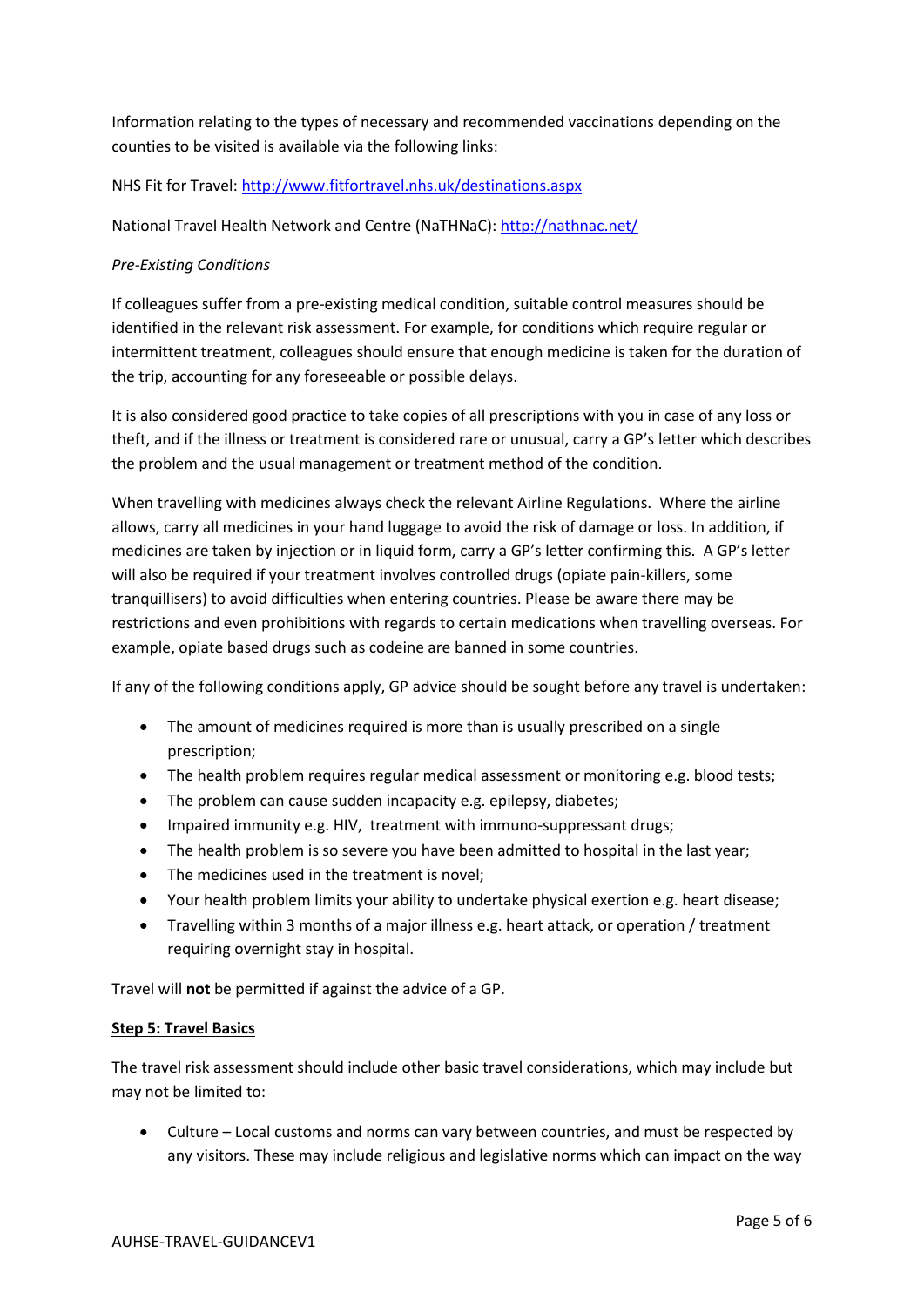Information relating to the types of necessary and recommended vaccinations depending on the counties to be visited is available via the following links:

# NHS Fit for Travel[: http://www.fitfortravel.nhs.uk/destinations.aspx](http://www.fitfortravel.nhs.uk/destinations.aspx)

National Travel Health Network and Centre (NaTHNaC)[: http://nathnac.net/](http://nathnac.net/)

## *Pre-Existing Conditions*

If colleagues suffer from a pre-existing medical condition, suitable control measures should be identified in the relevant risk assessment. For example, for conditions which require regular or intermittent treatment, colleagues should ensure that enough medicine is taken for the duration of the trip, accounting for any foreseeable or possible delays.

It is also considered good practice to take copies of all prescriptions with you in case of any loss or theft, and if the illness or treatment is considered rare or unusual, carry a GP's letter which describes the problem and the usual management or treatment method of the condition.

When travelling with medicines always check the relevant Airline Regulations. Where the airline allows, carry all medicines in your hand luggage to avoid the risk of damage or loss. In addition, if medicines are taken by injection or in liquid form, carry a GP's letter confirming this. A GP's letter will also be required if your treatment involves controlled drugs (opiate pain-killers, some tranquillisers) to avoid difficulties when entering countries. Please be aware there may be restrictions and even prohibitions with regards to certain medications when travelling overseas. For example, opiate based drugs such as codeine are banned in some countries.

If any of the following conditions apply, GP advice should be sought before any travel is undertaken:

- The amount of medicines required is more than is usually prescribed on a single prescription;
- The health problem requires regular medical assessment or monitoring e.g. blood tests;
- The problem can cause sudden incapacity e.g. epilepsy, diabetes;
- Impaired immunity e.g. HIV, treatment with immuno-suppressant drugs;
- The health problem is so severe you have been admitted to hospital in the last year;
- The medicines used in the treatment is novel;
- Your health problem limits your ability to undertake physical exertion e.g. heart disease;
- Travelling within 3 months of a major illness e.g. heart attack, or operation / treatment requiring overnight stay in hospital.

Travel will **not** be permitted if against the advice of a GP.

### **Step 5: Travel Basics**

The travel risk assessment should include other basic travel considerations, which may include but may not be limited to:

 Culture – Local customs and norms can vary between countries, and must be respected by any visitors. These may include religious and legislative norms which can impact on the way